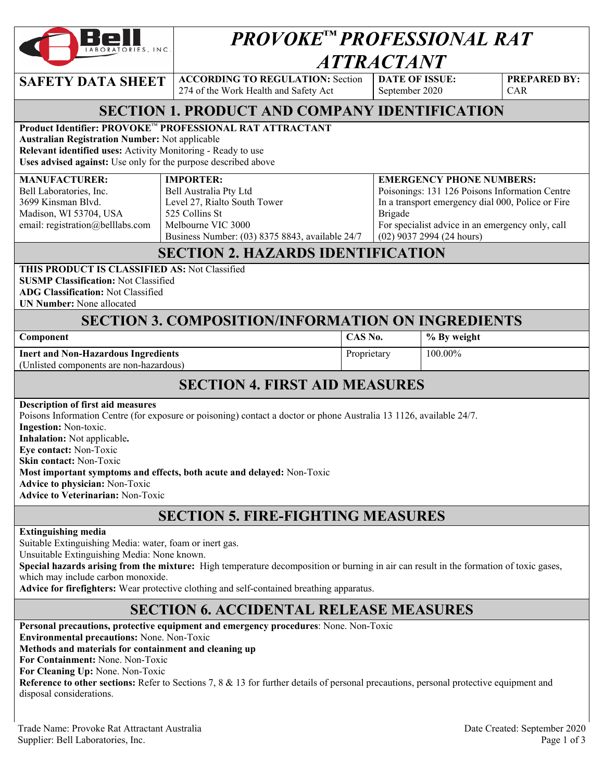

# *PROVOKE™ PROFESSIONAL RAT ATTRACTANT*

**SAFETY DATA SHEET** ACCORDING TO REGULATION: Section 274 of the Work Health and Safety Act

**DATE OF ISSUE:**  September 2020

**EMERGENCY PHONE NUMBERS:** 

**PREPARED BY:**  CAR

# **SECTION 1. PRODUCT AND COMPANY IDENTIFICATION**

#### **Product Identifier: PROVOKE**™ **PROFESSIONAL RAT ATTRACTANT**

**Australian Registration Number:** Not applicable

**Relevant identified uses:** Activity Monitoring - Ready to use

**Uses advised against:** Use only for the purpose described above

#### **IMPORTER:**

|                                  | $\cdots$ . $\cdots$ . $\cdots$                  | ENERGENCE ERONE ROMBERO:                          |
|----------------------------------|-------------------------------------------------|---------------------------------------------------|
| Bell Laboratories, Inc.          | Bell Australia Pty Ltd                          | Poisonings: 131 126 Poisons Information Centre    |
| 3699 Kinsman Blyd.               | Level 27, Rialto South Tower                    | In a transport emergency dial 000, Police or Fire |
| Madison, WI 53704, USA           | 525 Collins St                                  | Brigade                                           |
| email: registration@belllabs.com | Melbourne VIC 3000                              | For specialist advice in an emergency only, call  |
|                                  | Business Number: (03) 8375 8843, available 24/7 | $(02)$ 9037 2994 (24 hours)                       |

#### **SECTION 2. HAZARDS IDENTIFICATION**

#### **THIS PRODUCT IS CLASSIFIED AS:** Not Classified

**SUSMP Classification:** Not Classified

**ADG Classification:** Not Classified

**UN Number:** None allocated

**MANUFACTURER:** 

## **SECTION 3. COMPOSITION/INFORMATION ON INGREDIENTS**

| Component                               | CAS No.     | % By weight |  |
|-----------------------------------------|-------------|-------------|--|
| Inert and Non-Hazardous Ingredients     | Proprietary | $100.00\%$  |  |
| (Unlisted components are non-hazardous) |             |             |  |

## **SECTION 4. FIRST AID MEASURES**

**Description of first aid measures** 

Poisons Information Centre (for exposure or poisoning) contact a doctor or phone Australia 13 1126, available 24/7. **Ingestion:** Non-toxic. **Inhalation:** Not applicable**. Eye contact:** Non-Toxic **Skin contact:** Non-Toxic

**Most important symptoms and effects, both acute and delayed:** Non-Toxic

**Advice to physician:** Non-Toxic

**Advice to Veterinarian:** Non-Toxic

# **SECTION 5. FIRE-FIGHTING MEASURES**

#### **Extinguishing media**

Suitable Extinguishing Media: water, foam or inert gas.

Unsuitable Extinguishing Media: None known.

**Special hazards arising from the mixture:** High temperature decomposition or burning in air can result in the formation of toxic gases, which may include carbon monoxide.

**Advice for firefighters:** Wear protective clothing and self-contained breathing apparatus.

# **SECTION 6. ACCIDENTAL RELEASE MEASURES**

**Personal precautions, protective equipment and emergency procedures**: None. Non-Toxic

**Environmental precautions:** None. Non-Toxic

**Methods and materials for containment and cleaning up**

**For Containment:** None. Non-Toxic

**For Cleaning Up:** None. Non-Toxic

**Reference to other sections:** Refer to Sections 7, 8 & 13 for further details of personal precautions, personal protective equipment and disposal considerations.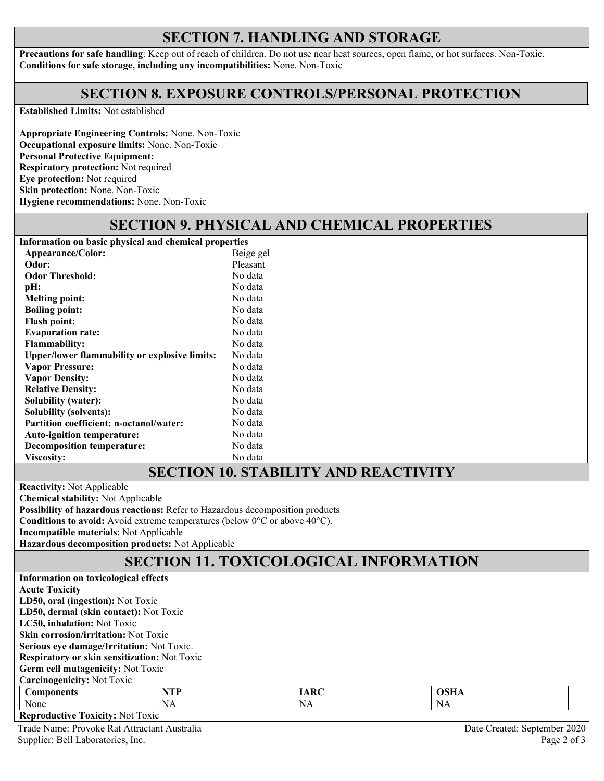# **SECTION 7. HANDLING AND STORAGE**

**Precautions for safe handling**: Keep out of reach of children. Do not use near heat sources, open flame, or hot surfaces. Non-Toxic. **Conditions for safe storage, including any incompatibilities:** None. Non-Toxic

## **SECTION 8. EXPOSURE CONTROLS/PERSONAL PROTECTION**

**Established Limits:** Not established

**Appropriate Engineering Controls:** None. Non-Toxic **Occupational exposure limits:** None. Non-Toxic **Personal Protective Equipment: Respiratory protection:** Not required **Eye protection:** Not required **Skin protection:** None. Non-Toxic **Hygiene recommendations:** None. Non-Toxic

# **SECTION 9. PHYSICAL AND CHEMICAL PROPERTIES**

**Information on basic physical and chemical properties Appearance/Color:** Beige gel **Odor:** Beige gel **Odor:** Pleasant **Odor:** Pleasant **Odor Threshold:** No data **pH:** No data<br> **Melting point:** No data **Melting point: Boiling point:** No data Flash point: No data **Evaporation rate:** No data **Flammability:** No data **Upper/lower flammability or explosive limits:** No data **Vapor Pressure: Vapor Density:**  No data No data **Relative Density:** No data **Solubility (water):** No data **Solubility (solvents):** No data Partition coefficient: n-octanol/water: No data **Auto-ignition temperature:** No data **Decomposition temperature:** No data Viscosity: No data

#### **SECTION 10. STABILITY AND REACTIVITY**

**Reactivity:** Not Applicable

**Chemical stability:** Not Applicable

**Possibility of hazardous reactions:** Refer to Hazardous decomposition products

**Conditions to avoid:** Avoid extreme temperatures (below 0°C or above 40°C).

**Incompatible materials**: Not Applicable

**Hazardous decomposition products:** Not Applicable

# **SECTION 11. TOXICOLOGICAL INFORMATION**

| Information on toxicological effects                |            |             |             |  |  |  |  |
|-----------------------------------------------------|------------|-------------|-------------|--|--|--|--|
| <b>Acute Toxicity</b>                               |            |             |             |  |  |  |  |
| LD50, oral (ingestion): Not Toxic                   |            |             |             |  |  |  |  |
| LD50, dermal (skin contact): Not Toxic              |            |             |             |  |  |  |  |
| LC50, inhalation: Not Toxic                         |            |             |             |  |  |  |  |
| <b>Skin corrosion/irritation:</b> Not Toxic         |            |             |             |  |  |  |  |
| <b>Serious eye damage/Irritation:</b> Not Toxic.    |            |             |             |  |  |  |  |
| <b>Respiratory or skin sensitization:</b> Not Toxic |            |             |             |  |  |  |  |
| Germ cell mutagenicity: Not Toxic                   |            |             |             |  |  |  |  |
| <b>Carcinogenicity: Not Toxic</b>                   |            |             |             |  |  |  |  |
| <b>Components</b>                                   | <b>NTP</b> | <b>IARC</b> | <b>OSHA</b> |  |  |  |  |
| None                                                | NA         | NA          | <b>NA</b>   |  |  |  |  |
| <b>Reproductive Toxicity: Not Toxic</b>             |            |             |             |  |  |  |  |

Trade Name: Provoke Rat Attractant Australia Date Created: September 2020 Supplier: Bell Laboratories, Inc. Page 2 of 3